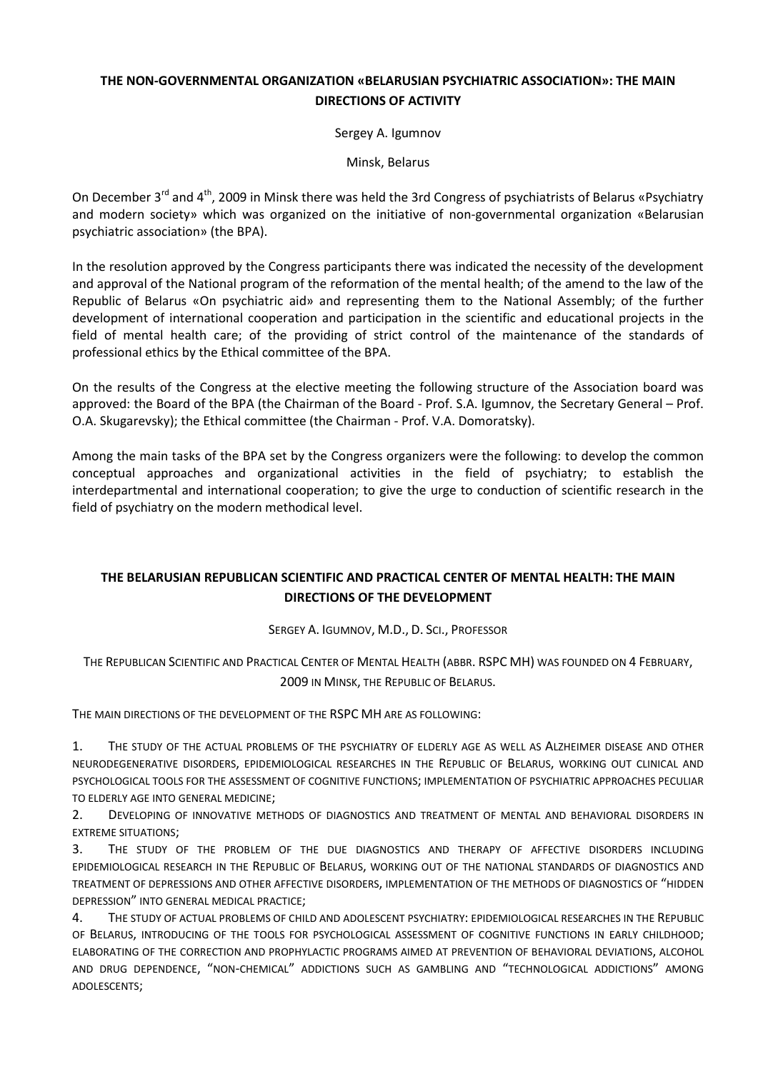## **THE NON-GOVERNMENTAL ORGANIZATION «BELARUSIAN PSYCHIATRIC ASSOCIATION»: THE MAIN DIRECTIONS OF ACTIVITY**

Sergey A. Igumnov

Minsk, Belarus

On December 3<sup>rd</sup> and 4<sup>th</sup>, 2009 in Minsk there was held the 3rd Congress of psychiatrists of Belarus «Psychiatry and modern society» which was organized on the initiative of non-governmental organization «Belarusian psychiatric association» (the BPA).

In the resolution approved by the Congress participants there was indicated the necessity of the development and approval of the National program of the reformation of the mental health; of the amend to the law of the Republic of Belarus «On psychiatric aid» and representing them to the National Assembly; of the further development of international cooperation and participation in the scientific and educational projects in the field of mental health care; of the providing of strict control of the maintenance of the standards of professional ethics by the Ethical committee of the BPA.

On the results of the Congress at the elective meeting the following structure of the Association board was approved: the Board of the BPA (the Chairman of the Board - Prof. S.A. Igumnov, the Secretary General – Prof. O.A. Skugarevsky); the Ethical committee (the Chairman - Prof. V.A. Domoratsky).

Among the main tasks of the BPA set by the Congress organizers were the following: to develop the common conceptual approaches and organizational activities in the field of psychiatry; to establish the interdepartmental and international cooperation; to give the urge to conduction of scientific research in the field of psychiatry on the modern methodical level.

## **THE BELARUSIAN REPUBLICAN SCIENTIFIC AND PRACTICAL CENTER OF MENTAL HEALTH: THE MAIN DIRECTIONS OF THE DEVELOPMENT**

SERGEY A. IGUMNOV, M.D., D. SCI., PROFESSOR

THE REPUBLICAN SCIENTIFIC AND PRACTICAL CENTER OF MENTAL HEALTH (ABBR. RSPC MH) WAS FOUNDED ON 4 FEBRUARY, 2009 IN MINSK, THE REPUBLIC OF BELARUS.

THE MAIN DIRECTIONS OF THE DEVELOPMENT OF THE RSPC MH ARE AS FOLLOWING:

1. THE STUDY OF THE ACTUAL PROBLEMS OF THE PSYCHIATRY OF ELDERLY AGE AS WELL AS ALZHEIMER DISEASE AND OTHER NEURODEGENERATIVE DISORDERS, EPIDEMIOLOGICAL RESEARCHES IN THE REPUBLIC OF BELARUS, WORKING OUT CLINICAL AND PSYCHOLOGICAL TOOLS FOR THE ASSESSMENT OF COGNITIVE FUNCTIONS; IMPLEMENTATION OF PSYCHIATRIC APPROACHES PECULIAR TO ELDERLY AGE INTO GENERAL MEDICINE;

2. DEVELOPING OF INNOVATIVE METHODS OF DIAGNOSTICS AND TREATMENT OF MENTAL AND BEHAVIORAL DISORDERS IN EXTREME SITUATIONS;

3. THE STUDY OF THE PROBLEM OF THE DUE DIAGNOSTICS AND THERAPY OF AFFECTIVE DISORDERS INCLUDING EPIDEMIOLOGICAL RESEARCH IN THE REPUBLIC OF BELARUS, WORKING OUT OF THE NATIONAL STANDARDS OF DIAGNOSTICS AND TREATMENT OF DEPRESSIONS AND OTHER AFFECTIVE DISORDERS, IMPLEMENTATION OF THE METHODS OF DIAGNOSTICS OF "HIDDEN DEPRESSION" INTO GENERAL MEDICAL PRACTICE;

4. THE STUDY OF ACTUAL PROBLEMS OF CHILD AND ADOLESCENT PSYCHIATRY: EPIDEMIOLOGICAL RESEARCHES IN THE REPUBLIC OF BELARUS, INTRODUCING OF THE TOOLS FOR PSYCHOLOGICAL ASSESSMENT OF COGNITIVE FUNCTIONS IN EARLY CHILDHOOD; ELABORATING OF THE CORRECTION AND PROPHYLACTIC PROGRAMS AIMED AT PREVENTION OF BEHAVIORAL DEVIATIONS, ALCOHOL AND DRUG DEPENDENCE, "NON-CHEMICAL" ADDICTIONS SUCH AS GAMBLING AND "TECHNOLOGICAL ADDICTIONS" AMONG ADOLESCENTS;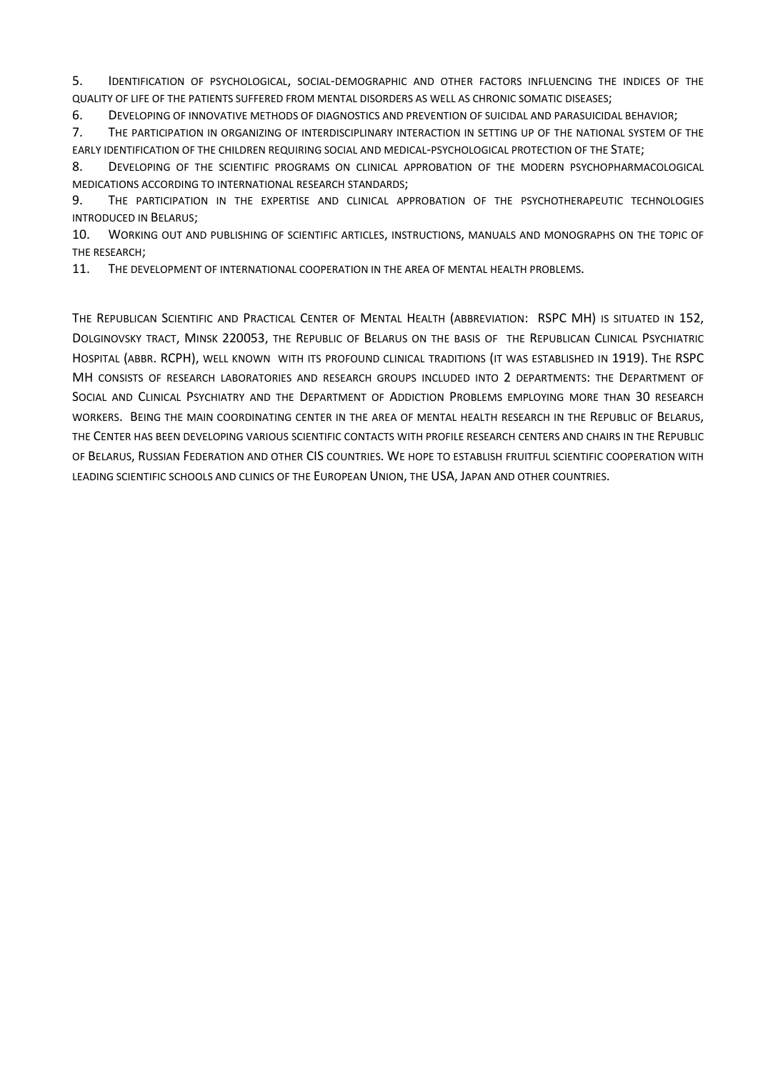5. IDENTIFICATION OF PSYCHOLOGICAL, SOCIAL-DEMOGRAPHIC AND OTHER FACTORS INFLUENCING THE INDICES OF THE QUALITY OF LIFE OF THE PATIENTS SUFFERED FROM MENTAL DISORDERS AS WELL AS CHRONIC SOMATIC DISEASES;

6. DEVELOPING OF INNOVATIVE METHODS OF DIAGNOSTICS AND PREVENTION OF SUICIDAL AND PARASUICIDAL BEHAVIOR;

7. THE PARTICIPATION IN ORGANIZING OF INTERDISCIPLINARY INTERACTION IN SETTING UP OF THE NATIONAL SYSTEM OF THE EARLY IDENTIFICATION OF THE CHILDREN REQUIRING SOCIAL AND MEDICAL-PSYCHOLOGICAL PROTECTION OF THE STATE;

8. DEVELOPING OF THE SCIENTIFIC PROGRAMS ON CLINICAL APPROBATION OF THE MODERN PSYCHOPHARMACOLOGICAL MEDICATIONS ACCORDING TO INTERNATIONAL RESEARCH STANDARDS;

9. THE PARTICIPATION IN THE EXPERTISE AND CLINICAL APPROBATION OF THE PSYCHOTHERAPEUTIC TECHNOLOGIES INTRODUCED IN BELARUS;

10. WORKING OUT AND PUBLISHING OF SCIENTIFIC ARTICLES, INSTRUCTIONS, MANUALS AND MONOGRAPHS ON THE TOPIC OF THE RESEARCH;

11. THE DEVELOPMENT OF INTERNATIONAL COOPERATION IN THE AREA OF MENTAL HEALTH PROBLEMS.

THE REPUBLICAN SCIENTIFIC AND PRACTICAL CENTER OF MENTAL HEALTH (ABBREVIATION: RSPC MH) IS SITUATED IN 152, DOLGINOVSKY TRACT, MINSK 220053, THE REPUBLIC OF BELARUS ON THE BASIS OF THE REPUBLICAN CLINICAL PSYCHIATRIC HOSPITAL (ABBR. RCPH), WELL KNOWN WITH ITS PROFOUND CLINICAL TRADITIONS (IT WAS ESTABLISHED IN 1919). THE RSPC MH CONSISTS OF RESEARCH LABORATORIES AND RESEARCH GROUPS INCLUDED INTO 2 DEPARTMENTS: THE DEPARTMENT OF SOCIAL AND CLINICAL PSYCHIATRY AND THE DEPARTMENT OF ADDICTION PROBLEMS EMPLOYING MORE THAN 30 RESEARCH WORKERS. BEING THE MAIN COORDINATING CENTER IN THE AREA OF MENTAL HEALTH RESEARCH IN THE REPUBLIC OF BELARUS, THE CENTER HAS BEEN DEVELOPING VARIOUS SCIENTIFIC CONTACTS WITH PROFILE RESEARCH CENTERS AND CHAIRS IN THE REPUBLIC OF BELARUS, RUSSIAN FEDERATION AND OTHER CIS COUNTRIES. WE HOPE TO ESTABLISH FRUITFUL SCIENTIFIC COOPERATION WITH LEADING SCIENTIFIC SCHOOLS AND CLINICS OF THE EUROPEAN UNION, THE USA, JAPAN AND OTHER COUNTRIES.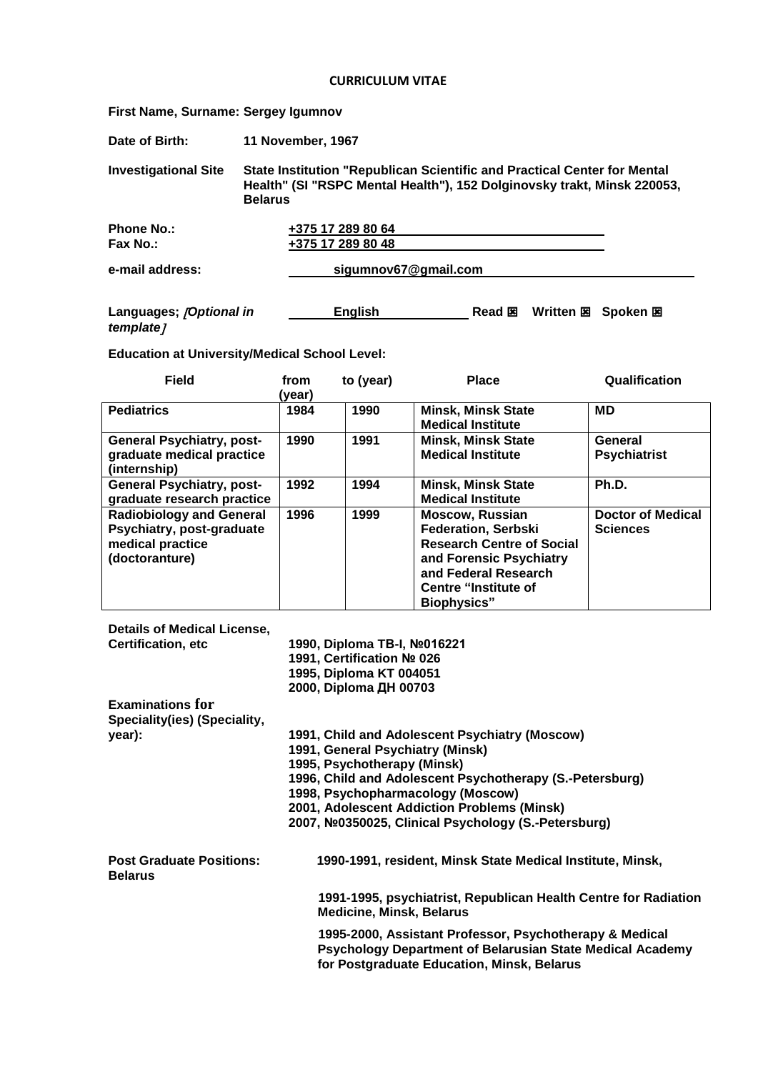## **CURRICULUM VITAE**

**First Name, Surname: Sergey Igumnov**

| Date of Birth:                       | 11 November, 1967                                                                                                                                                     |  |  |
|--------------------------------------|-----------------------------------------------------------------------------------------------------------------------------------------------------------------------|--|--|
| <b>Investigational Site</b>          | State Institution "Republican Scientific and Practical Center for Mental<br>Health" (SI "RSPC Mental Health"), 152 Dolginovsky trakt, Minsk 220053,<br><b>Belarus</b> |  |  |
| <b>Phone No.:</b><br>Fax No.:        | +375 17 289 80 64<br>+375 17 289 80 48                                                                                                                                |  |  |
| e-mail address:                      | sigumnov67@gmail.com                                                                                                                                                  |  |  |
| Languages; [Optional in<br>template] | Read 図<br>Written 図 Spoken 図<br><b>English</b>                                                                                                                        |  |  |

**Education at University/Medical School Level:**

| <b>Field</b>                                                                                       | from<br>(year) | to (year) | <b>Place</b>                                                                                                                                                                                     | Qualification                               |
|----------------------------------------------------------------------------------------------------|----------------|-----------|--------------------------------------------------------------------------------------------------------------------------------------------------------------------------------------------------|---------------------------------------------|
| <b>Pediatrics</b>                                                                                  | 1984           | 1990      | <b>Minsk, Minsk State</b><br><b>Medical Institute</b>                                                                                                                                            | MD                                          |
| <b>General Psychiatry, post-</b><br>graduate medical practice<br>(internship)                      | 1990           | 1991      | <b>Minsk, Minsk State</b><br><b>Medical Institute</b>                                                                                                                                            | General<br><b>Psychiatrist</b>              |
| <b>General Psychiatry, post-</b><br>graduate research practice                                     | 1992           | 1994      | <b>Minsk, Minsk State</b><br><b>Medical Institute</b>                                                                                                                                            | Ph.D.                                       |
| <b>Radiobiology and General</b><br>Psychiatry, post-graduate<br>medical practice<br>(doctoranture) | 1996           | 1999      | <b>Moscow, Russian</b><br><b>Federation, Serbski</b><br><b>Research Centre of Social</b><br>and Forensic Psychiatry<br>and Federal Research<br><b>Centre "Institute of</b><br><b>Biophysics"</b> | <b>Doctor of Medical</b><br><b>Sciences</b> |

| <b>Details of Medical License,</b>                |                                                                                                                                                                                                                                                                                                                          |
|---------------------------------------------------|--------------------------------------------------------------------------------------------------------------------------------------------------------------------------------------------------------------------------------------------------------------------------------------------------------------------------|
| <b>Certification, etc.</b>                        | 1990, Diploma TB-I, №016221<br>1991, Certification № 026<br>1995, Diploma KT 004051<br>2000, Diploma ДН 00703                                                                                                                                                                                                            |
| <b>Examinations for</b>                           |                                                                                                                                                                                                                                                                                                                          |
| Speciality(ies) (Speciality,                      |                                                                                                                                                                                                                                                                                                                          |
| year):                                            | 1991, Child and Adolescent Psychiatry (Moscow)<br>1991, General Psychiatry (Minsk)<br>1995, Psychotherapy (Minsk)<br>1996, Child and Adolescent Psychotherapy (S.-Petersburg)<br>1998, Psychopharmacology (Moscow)<br>2001, Adolescent Addiction Problems (Minsk)<br>2007, №0350025, Clinical Psychology (S.-Petersburg) |
| <b>Post Graduate Positions:</b><br><b>Belarus</b> | 1990-1991, resident, Minsk State Medical Institute, Minsk,                                                                                                                                                                                                                                                               |
|                                                   | 1991-1995, psychiatrist, Republican Health Centre for Radiation<br><b>Medicine, Minsk, Belarus</b>                                                                                                                                                                                                                       |
|                                                   | 1995-2000, Assistant Professor, Psychotherapy & Medical<br>Psychology Department of Belarusian State Medical Academy<br>for Postgraduate Education, Minsk, Belarus                                                                                                                                                       |